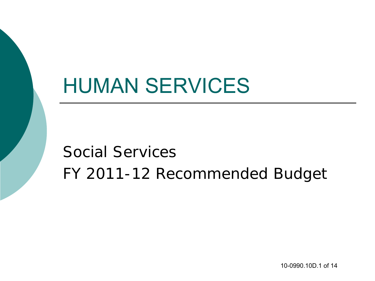# HUMAN SERVICES

Social Services FY 2011-12 Recommended Budget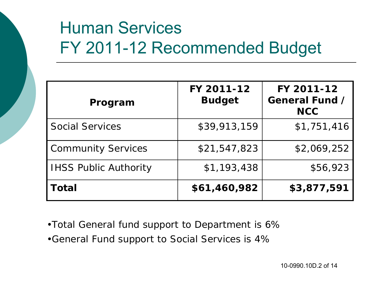## Human Services FY 2011-12 Recommended Budget

| Program                      | FY 2011-12<br><b>Budget</b> | FY 2011-12<br>General Fund /<br><b>NCC</b> |
|------------------------------|-----------------------------|--------------------------------------------|
| <b>Social Services</b>       | \$39,913,159                | \$1,751,416                                |
| <b>Community Services</b>    | \$21,547,823                | \$2,069,252                                |
| <b>IHSS Public Authority</b> | \$1,193,438                 | \$56,923                                   |
| Total                        | \$61,460,982                | \$3,877,591                                |

- •*Total General fund support to Department is 6%*
- •*General Fund support to Social Services is 4%*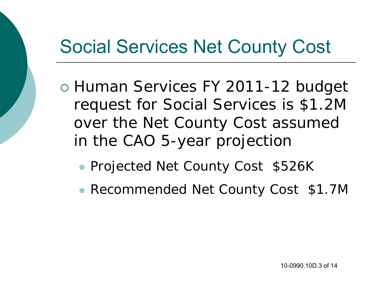## Social Services Net County Cost

- o Human Services FY 2011-12 budget request for Social Services is \$1.2M over the Net County Cost assumed in the CAO 5-year projection
	- **Projected Net County Cost \$526K**
	- Recommended Net County Cost \$1.7M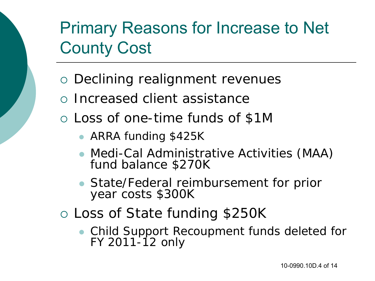## Primary Reasons for Increase to Net County Cost

- Declining realignment revenues
- Increased client assistance
- Loss of one-time funds of \$1M
	- ARRA funding \$425K
	- Medi-Cal Administrative Activities (MAA) fund balance \$270K
	- State/Federal reimbursement for prior year costs \$300K
- Loss of State funding \$250K
	- Child Support Recoupment funds deleted for FY 2011-12 only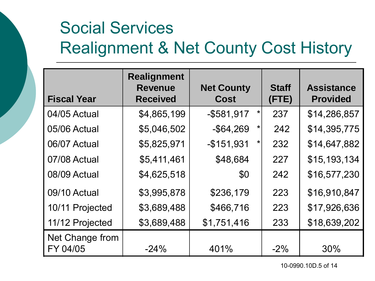## Social Services Realignment & Net County Cost History

| <b>Fiscal Year</b>          | <b>Realignment</b><br><b>Revenue</b><br><b>Received</b> | <b>Net County</b><br><b>Cost</b> | <b>Staff</b><br>(FTE) | <b>Assistance</b><br><b>Provided</b> |
|-----------------------------|---------------------------------------------------------|----------------------------------|-----------------------|--------------------------------------|
| 04/05 Actual                | \$4,865,199                                             | $-$ \$581,917<br>$\star$         | 237                   | \$14,286,857                         |
| 05/06 Actual                | \$5,046,502                                             | $-$ \$64,269<br>*                | 242                   | \$14,395,775                         |
| 06/07 Actual                | \$5,825,971                                             | $-$151,931$<br>*                 | 232                   | \$14,647,882                         |
| 07/08 Actual                | \$5,411,461                                             | \$48,684                         | 227                   | \$15,193,134                         |
| 08/09 Actual                | \$4,625,518                                             | \$0                              | 242                   | \$16,577,230                         |
| 09/10 Actual                | \$3,995,878                                             | \$236,179                        | 223                   | \$16,910,847                         |
| 10/11 Projected             | \$3,689,488                                             | \$466,716                        | 223                   | \$17,926,636                         |
| 11/12 Projected             | \$3,689,488                                             | \$1,751,416                      | 233                   | \$18,639,202                         |
| Net Change from<br>FY 04/05 | $-24%$                                                  | 401%                             | $-2\%$                | 30%                                  |

10-0990.10D.5 of 14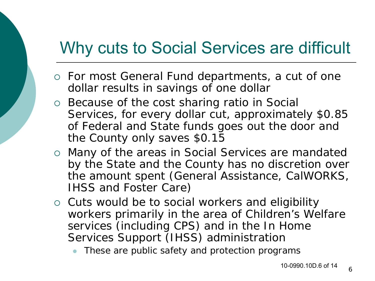#### Why cuts to Social Services are difficult

- For most General Fund departments, a cut of one dollar results in savings of one dollar
- Because of the cost sharing ratio in Social Services, for every dollar cut, approximately \$0.85 of Federal and State funds goes out the door and the County only saves \$0.15
- Many of the areas in Social Services are mandated by the State and the County has no discretion over the amount spent (General Assistance, CalWORKS, IHSS and Foster Care)
- o Cuts would be to social workers and eligibility workers primarily in the area of Children's Welfare services (including CPS) and in the In Home Services Support (IHSS) administration
	- These are public safety and protection programs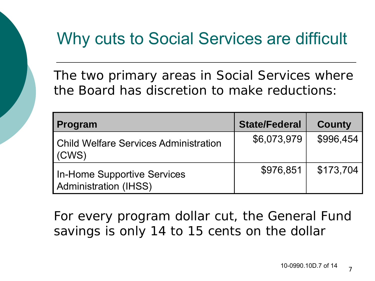#### Why cuts to Social Services are difficult

The two primary areas in Social Services where the Board has discretion to make reductions:

| Program                                                     | <b>State/Federal</b> | <b>County</b> |
|-------------------------------------------------------------|----------------------|---------------|
| Child Welfare Services Administration<br>(CWS)              | \$6,073,979          | \$996,454     |
| In-Home Supportive Services<br><b>Administration (IHSS)</b> | \$976,851            | \$173,704     |

For every program dollar cut, the General Fund savings is only 14 to 15 cents on the dollar

7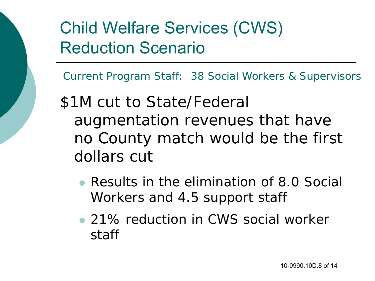Current Program Staff: 38 Social Workers & Supervisors

\$1M cut to State/Federal augmentation revenues that have no County match would be the first dollars cut

- Results in the elimination of 8.0 Social Workers and 4.5 support staff
- 21% reduction in CWS social worker staff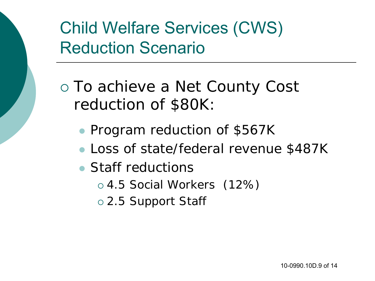To achieve a Net County Cost reduction of \$80K:

- Program reduction of \$567K
- Loss of state/federal revenue \$487K
- Staff reductions
	- 4.5 Social Workers (12%)
	- 2.5 Support Staff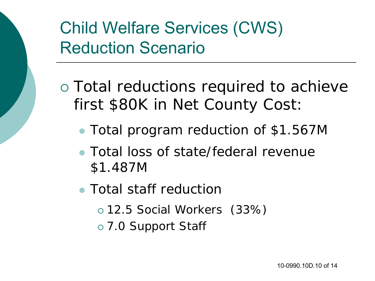- Total reductions required to achieve first \$80K in Net County Cost:
	- Total program reduction of \$1.567M
	- Total loss of state/federal revenue \$1.487M
	- Total staff reduction
		- 12.5 Social Workers (33%)
		- 7.0 Support Staff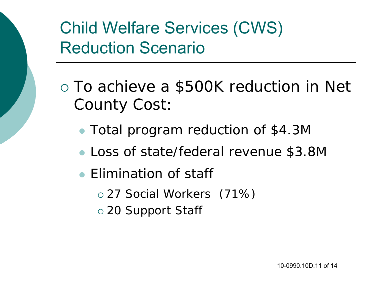- To achieve a \$500K reduction in Net County Cost:
	- Total program reduction of \$4.3M
	- Loss of state/federal revenue \$3.8M
	- Elimination of staff
		- 27 Social Workers (71%)
		- 20 Support Staff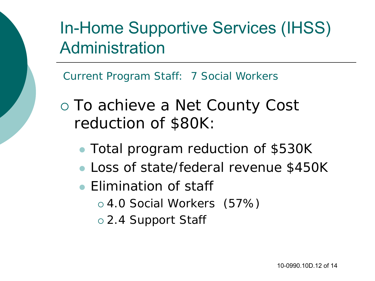In-Home Supportive Services (IHSS) Administration

Current Program Staff: 7 Social Workers

- To achieve a Net County Cost reduction of \$80K:
	- Total program reduction of \$530K
	- Loss of state/federal revenue \$450K
	- Elimination of staff
		- 4.0 Social Workers (57%)
		- 2.4 Support Staff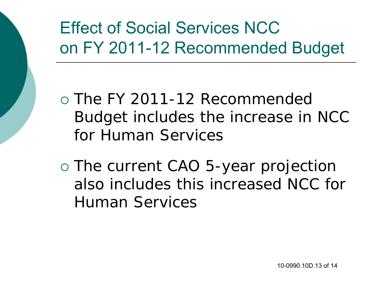## Effect of Social Services NCC on FY 2011-12 Recommended Budget

 The FY 2011-12 Recommended Budget includes the increase in NCC for Human Services

 The current CAO 5-year projection also includes this increased NCC for Human Services